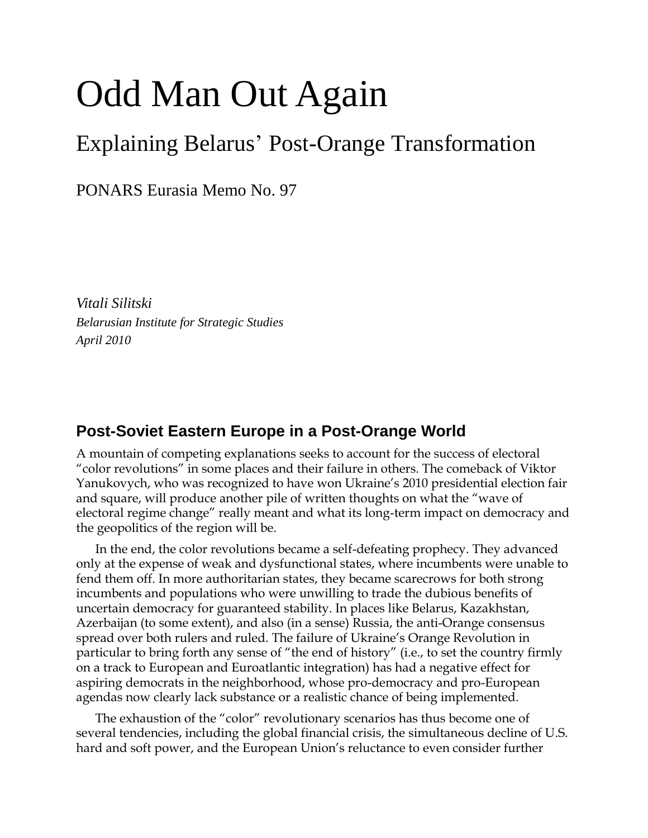# Odd Man Out Again

# Explaining Belarus' Post-Orange Transformation

PONARS Eurasia Memo No. 97

*Vitali Silitski Belarusian Institute for Strategic Studies April 2010*

## **Post-Soviet Eastern Europe in a Post-Orange World**

A mountain of competing explanations seeks to account for the success of electoral "color revolutions" in some places and their failure in others. The comeback of Viktor Yanukovych, who was recognized to have won Ukraine's 2010 presidential election fair and square, will produce another pile of written thoughts on what the "wave of electoral regime change" really meant and what its long-term impact on democracy and the geopolitics of the region will be.

In the end, the color revolutions became a self-defeating prophecy. They advanced only at the expense of weak and dysfunctional states, where incumbents were unable to fend them off. In more authoritarian states, they became scarecrows for both strong incumbents and populations who were unwilling to trade the dubious benefits of uncertain democracy for guaranteed stability. In places like Belarus, Kazakhstan, Azerbaijan (to some extent), and also (in a sense) Russia, the anti-Orange consensus spread over both rulers and ruled. The failure of Ukraine's Orange Revolution in particular to bring forth any sense of "the end of history" (i.e., to set the country firmly on a track to European and Euroatlantic integration) has had a negative effect for aspiring democrats in the neighborhood, whose pro-democracy and pro-European agendas now clearly lack substance or a realistic chance of being implemented.

The exhaustion of the "color" revolutionary scenarios has thus become one of several tendencies, including the global financial crisis, the simultaneous decline of U.S. hard and soft power, and the European Union's reluctance to even consider further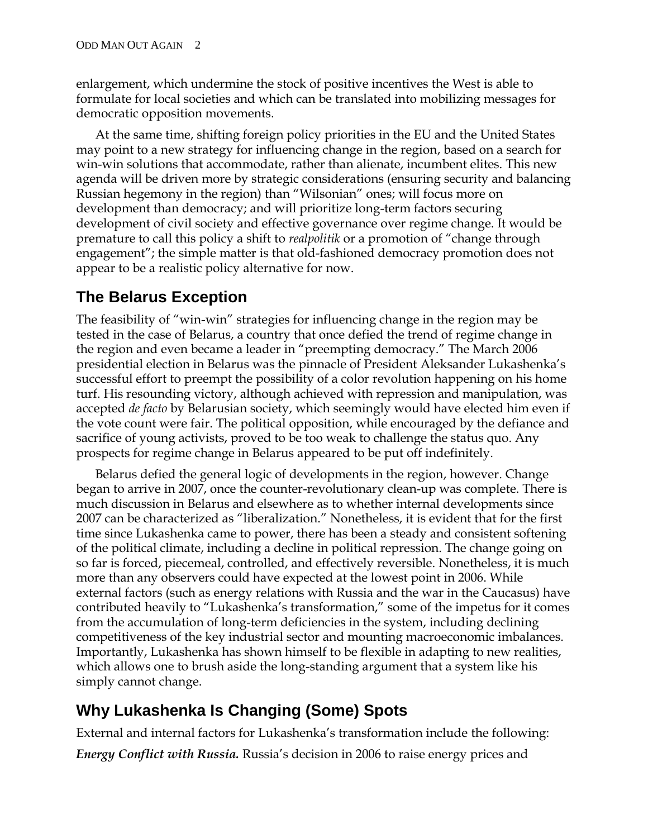enlargement, which undermine the stock of positive incentives the West is able to formulate for local societies and which can be translated into mobilizing messages for democratic opposition movements.

At the same time, shifting foreign policy priorities in the EU and the United States may point to a new strategy for influencing change in the region, based on a search for win-win solutions that accommodate, rather than alienate, incumbent elites. This new agenda will be driven more by strategic considerations (ensuring security and balancing Russian hegemony in the region) than "Wilsonian" ones; will focus more on development than democracy; and will prioritize long-term factors securing development of civil society and effective governance over regime change. It would be premature to call this policy a shift to *realpolitik* or a promotion of "change through engagement"; the simple matter is that old-fashioned democracy promotion does not appear to be a realistic policy alternative for now.

### **The Belarus Exception**

The feasibility of "win-win" strategies for influencing change in the region may be tested in the case of Belarus, a country that once defied the trend of regime change in the region and even became a leader in "preempting democracy." The March 2006 presidential election in Belarus was the pinnacle of President Aleksander Lukashenka's successful effort to preempt the possibility of a color revolution happening on his home turf. His resounding victory, although achieved with repression and manipulation, was accepted *de facto* by Belarusian society, which seemingly would have elected him even if the vote count were fair. The political opposition, while encouraged by the defiance and sacrifice of young activists, proved to be too weak to challenge the status quo. Any prospects for regime change in Belarus appeared to be put off indefinitely.

Belarus defied the general logic of developments in the region, however. Change began to arrive in 2007, once the counter-revolutionary clean-up was complete. There is much discussion in Belarus and elsewhere as to whether internal developments since 2007 can be characterized as "liberalization." Nonetheless, it is evident that for the first time since Lukashenka came to power, there has been a steady and consistent softening of the political climate, including a decline in political repression. The change going on so far is forced, piecemeal, controlled, and effectively reversible. Nonetheless, it is much more than any observers could have expected at the lowest point in 2006. While external factors (such as energy relations with Russia and the war in the Caucasus) have contributed heavily to "Lukashenka's transformation," some of the impetus for it comes from the accumulation of long-term deficiencies in the system, including declining competitiveness of the key industrial sector and mounting macroeconomic imbalances. Importantly, Lukashenka has shown himself to be flexible in adapting to new realities, which allows one to brush aside the long-standing argument that a system like his simply cannot change.

# **Why Lukashenka Is Changing (Some) Spots**

External and internal factors for Lukashenka's transformation include the following: *Energy Conflict with Russia.* Russia's decision in 2006 to raise energy prices and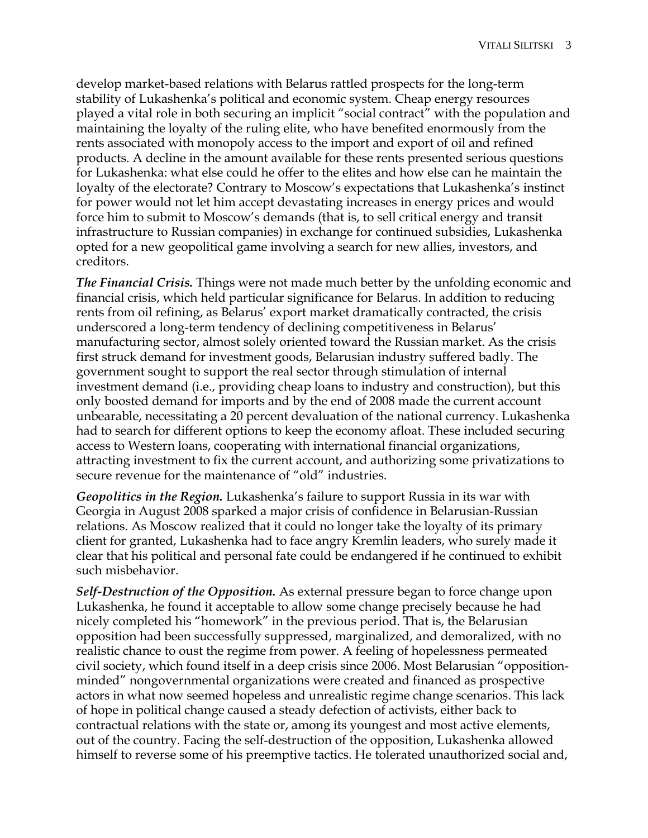develop market-based relations with Belarus rattled prospects for the long-term stability of Lukashenka's political and economic system. Cheap energy resources played a vital role in both securing an implicit "social contract" with the population and maintaining the loyalty of the ruling elite, who have benefited enormously from the rents associated with monopoly access to the import and export of oil and refined products. A decline in the amount available for these rents presented serious questions for Lukashenka: what else could he offer to the elites and how else can he maintain the loyalty of the electorate? Contrary to Moscow's expectations that Lukashenka's instinct for power would not let him accept devastating increases in energy prices and would force him to submit to Moscow's demands (that is, to sell critical energy and transit infrastructure to Russian companies) in exchange for continued subsidies, Lukashenka opted for a new geopolitical game involving a search for new allies, investors, and creditors.

*The Financial Crisis.* Things were not made much better by the unfolding economic and financial crisis, which held particular significance for Belarus. In addition to reducing rents from oil refining, as Belarus' export market dramatically contracted, the crisis underscored a long-term tendency of declining competitiveness in Belarus' manufacturing sector, almost solely oriented toward the Russian market. As the crisis first struck demand for investment goods, Belarusian industry suffered badly. The government sought to support the real sector through stimulation of internal investment demand (i.e., providing cheap loans to industry and construction), but this only boosted demand for imports and by the end of 2008 made the current account unbearable, necessitating a 20 percent devaluation of the national currency. Lukashenka had to search for different options to keep the economy afloat. These included securing access to Western loans, cooperating with international financial organizations, attracting investment to fix the current account, and authorizing some privatizations to secure revenue for the maintenance of "old" industries.

*Geopolitics in the Region.* Lukashenka's failure to support Russia in its war with Georgia in August 2008 sparked a major crisis of confidence in Belarusian-Russian relations. As Moscow realized that it could no longer take the loyalty of its primary client for granted, Lukashenka had to face angry Kremlin leaders, who surely made it clear that his political and personal fate could be endangered if he continued to exhibit such misbehavior.

*Self-Destruction of the Opposition.* As external pressure began to force change upon Lukashenka, he found it acceptable to allow some change precisely because he had nicely completed his "homework" in the previous period. That is, the Belarusian opposition had been successfully suppressed, marginalized, and demoralized, with no realistic chance to oust the regime from power. A feeling of hopelessness permeated civil society, which found itself in a deep crisis since 2006. Most Belarusian "oppositionminded" nongovernmental organizations were created and financed as prospective actors in what now seemed hopeless and unrealistic regime change scenarios. This lack of hope in political change caused a steady defection of activists, either back to contractual relations with the state or, among its youngest and most active elements, out of the country. Facing the self-destruction of the opposition, Lukashenka allowed himself to reverse some of his preemptive tactics. He tolerated unauthorized social and,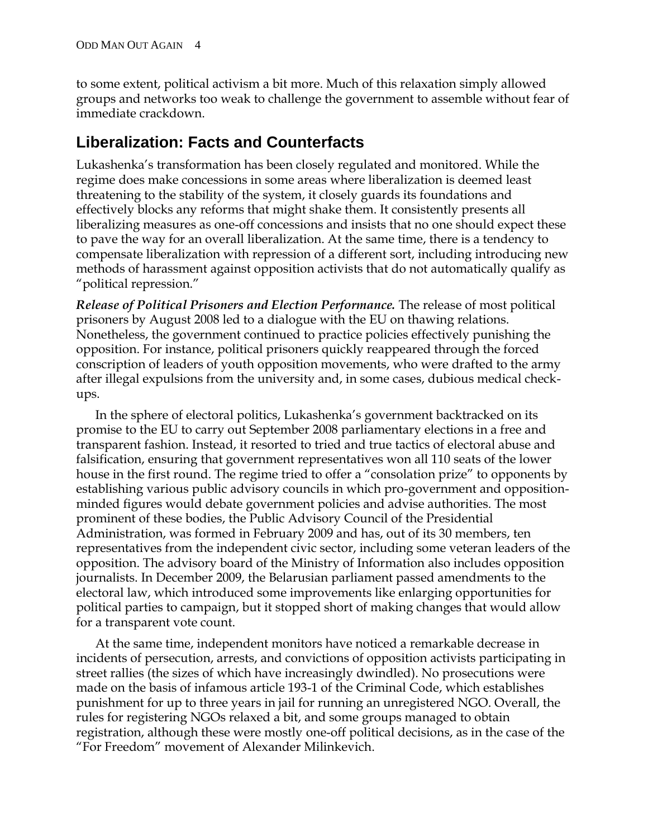to some extent, political activism a bit more. Much of this relaxation simply allowed groups and networks too weak to challenge the government to assemble without fear of immediate crackdown.

#### **Liberalization: Facts and Counterfacts**

Lukashenka's transformation has been closely regulated and monitored. While the regime does make concessions in some areas where liberalization is deemed least threatening to the stability of the system, it closely guards its foundations and effectively blocks any reforms that might shake them. It consistently presents all liberalizing measures as one-off concessions and insists that no one should expect these to pave the way for an overall liberalization. At the same time, there is a tendency to compensate liberalization with repression of a different sort, including introducing new methods of harassment against opposition activists that do not automatically qualify as "political repression."

*Release of Political Prisoners and Election Performance.* The release of most political prisoners by August 2008 led to a dialogue with the EU on thawing relations. Nonetheless, the government continued to practice policies effectively punishing the opposition. For instance, political prisoners quickly reappeared through the forced conscription of leaders of youth opposition movements, who were drafted to the army after illegal expulsions from the university and, in some cases, dubious medical checkups.

In the sphere of electoral politics, Lukashenka's government backtracked on its promise to the EU to carry out September 2008 parliamentary elections in a free and transparent fashion. Instead, it resorted to tried and true tactics of electoral abuse and falsification, ensuring that government representatives won all 110 seats of the lower house in the first round. The regime tried to offer a "consolation prize" to opponents by establishing various public advisory councils in which pro-government and oppositionminded figures would debate government policies and advise authorities. The most prominent of these bodies, the Public Advisory Council of the Presidential Administration, was formed in February 2009 and has, out of its 30 members, ten representatives from the independent civic sector, including some veteran leaders of the opposition. The advisory board of the Ministry of Information also includes opposition journalists. In December 2009, the Belarusian parliament passed amendments to the electoral law, which introduced some improvements like enlarging opportunities for political parties to campaign, but it stopped short of making changes that would allow for a transparent vote count.

At the same time, independent monitors have noticed a remarkable decrease in incidents of persecution, arrests, and convictions of opposition activists participating in street rallies (the sizes of which have increasingly dwindled). No prosecutions were made on the basis of infamous article 193-1 of the Criminal Code, which establishes punishment for up to three years in jail for running an unregistered NGO. Overall, the rules for registering NGOs relaxed a bit, and some groups managed to obtain registration, although these were mostly one-off political decisions, as in the case of the "For Freedom" movement of Alexander Milinkevich.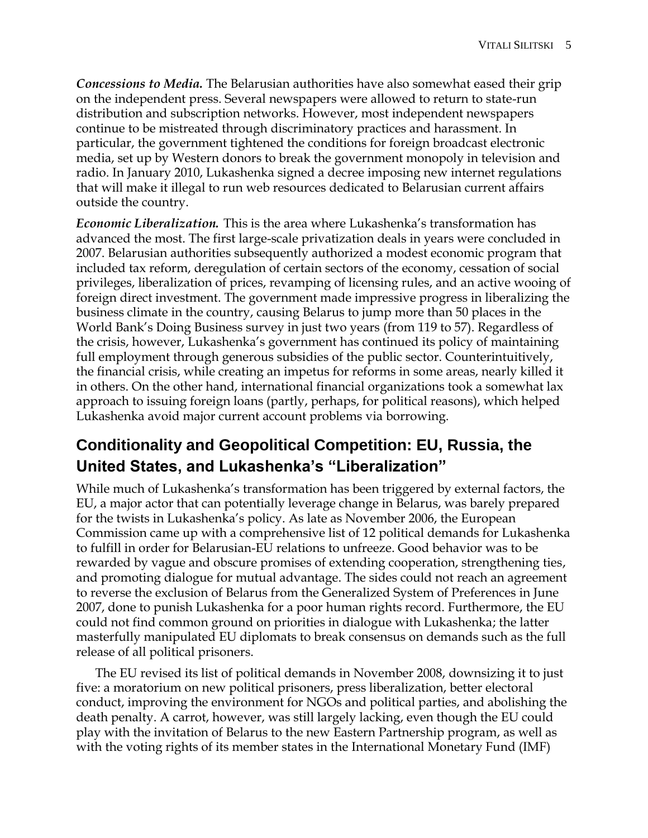*Concessions to Media.* The Belarusian authorities have also somewhat eased their grip on the independent press. Several newspapers were allowed to return to state-run distribution and subscription networks. However, most independent newspapers continue to be mistreated through discriminatory practices and harassment. In particular, the government tightened the conditions for foreign broadcast electronic media, set up by Western donors to break the government monopoly in television and radio. In January 2010, Lukashenka signed a decree imposing new internet regulations that will make it illegal to run web resources dedicated to Belarusian current affairs outside the country.

*Economic Liberalization.* This is the area where Lukashenka's transformation has advanced the most. The first large-scale privatization deals in years were concluded in 2007. Belarusian authorities subsequently authorized a modest economic program that included tax reform, deregulation of certain sectors of the economy, cessation of social privileges, liberalization of prices, revamping of licensing rules, and an active wooing of foreign direct investment. The government made impressive progress in liberalizing the business climate in the country, causing Belarus to jump more than 50 places in the World Bank's Doing Business survey in just two years (from 119 to 57). Regardless of the crisis, however, Lukashenka's government has continued its policy of maintaining full employment through generous subsidies of the public sector. Counterintuitively, the financial crisis, while creating an impetus for reforms in some areas, nearly killed it in others. On the other hand, international financial organizations took a somewhat lax approach to issuing foreign loans (partly, perhaps, for political reasons), which helped Lukashenka avoid major current account problems via borrowing.

# **Conditionality and Geopolitical Competition: EU, Russia, the United States, and Lukashenka's "Liberalization"**

While much of Lukashenka's transformation has been triggered by external factors, the EU, a major actor that can potentially leverage change in Belarus, was barely prepared for the twists in Lukashenka's policy. As late as November 2006, the European Commission came up with a comprehensive list of 12 political demands for Lukashenka to fulfill in order for Belarusian-EU relations to unfreeze. Good behavior was to be rewarded by vague and obscure promises of extending cooperation, strengthening ties, and promoting dialogue for mutual advantage. The sides could not reach an agreement to reverse the exclusion of Belarus from the Generalized System of Preferences in June 2007, done to punish Lukashenka for a poor human rights record. Furthermore, the EU could not find common ground on priorities in dialogue with Lukashenka; the latter masterfully manipulated EU diplomats to break consensus on demands such as the full release of all political prisoners.

The EU revised its list of political demands in November 2008, downsizing it to just five: a moratorium on new political prisoners, press liberalization, better electoral conduct, improving the environment for NGOs and political parties, and abolishing the death penalty. A carrot, however, was still largely lacking, even though the EU could play with the invitation of Belarus to the new Eastern Partnership program, as well as with the voting rights of its member states in the International Monetary Fund (IMF)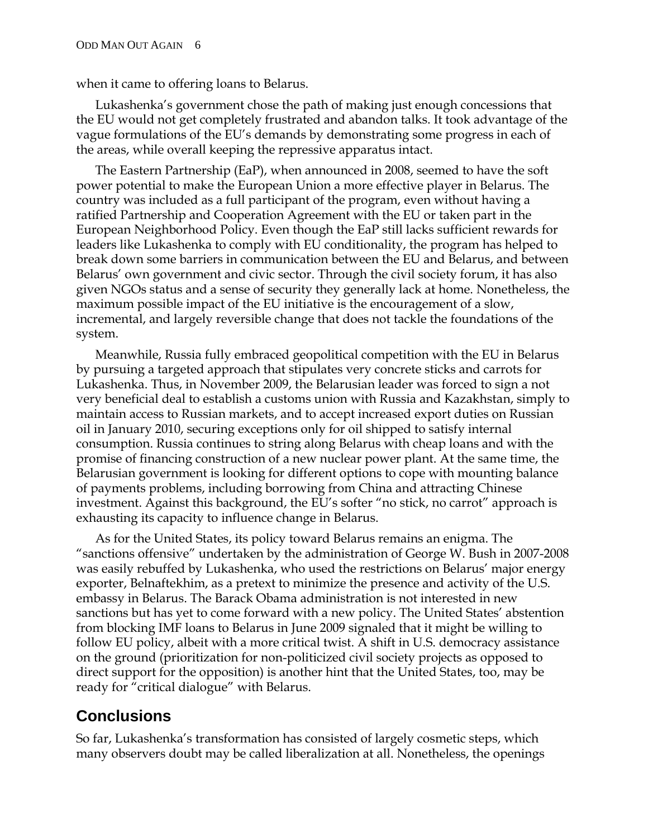when it came to offering loans to Belarus.

Lukashenka's government chose the path of making just enough concessions that the EU would not get completely frustrated and abandon talks. It took advantage of the vague formulations of the EU's demands by demonstrating some progress in each of the areas, while overall keeping the repressive apparatus intact.

The Eastern Partnership (EaP), when announced in 2008, seemed to have the soft power potential to make the European Union a more effective player in Belarus. The country was included as a full participant of the program, even without having a ratified Partnership and Cooperation Agreement with the EU or taken part in the European Neighborhood Policy. Even though the EaP still lacks sufficient rewards for leaders like Lukashenka to comply with EU conditionality, the program has helped to break down some barriers in communication between the EU and Belarus, and between Belarus' own government and civic sector. Through the civil society forum, it has also given NGOs status and a sense of security they generally lack at home. Nonetheless, the maximum possible impact of the EU initiative is the encouragement of a slow, incremental, and largely reversible change that does not tackle the foundations of the system.

Meanwhile, Russia fully embraced geopolitical competition with the EU in Belarus by pursuing a targeted approach that stipulates very concrete sticks and carrots for Lukashenka. Thus, in November 2009, the Belarusian leader was forced to sign a not very beneficial deal to establish a customs union with Russia and Kazakhstan, simply to maintain access to Russian markets, and to accept increased export duties on Russian oil in January 2010, securing exceptions only for oil shipped to satisfy internal consumption. Russia continues to string along Belarus with cheap loans and with the promise of financing construction of a new nuclear power plant. At the same time, the Belarusian government is looking for different options to cope with mounting balance of payments problems, including borrowing from China and attracting Chinese investment. Against this background, the EU's softer "no stick, no carrot" approach is exhausting its capacity to influence change in Belarus.

As for the United States, its policy toward Belarus remains an enigma. The "sanctions offensive" undertaken by the administration of George W. Bush in 2007-2008 was easily rebuffed by Lukashenka, who used the restrictions on Belarus' major energy exporter, Belnaftekhim, as a pretext to minimize the presence and activity of the U.S. embassy in Belarus. The Barack Obama administration is not interested in new sanctions but has yet to come forward with a new policy. The United States' abstention from blocking IMF loans to Belarus in June 2009 signaled that it might be willing to follow EU policy, albeit with a more critical twist. A shift in U.S. democracy assistance on the ground (prioritization for non-politicized civil society projects as opposed to direct support for the opposition) is another hint that the United States, too, may be ready for "critical dialogue" with Belarus.

#### **Conclusions**

So far, Lukashenka's transformation has consisted of largely cosmetic steps, which many observers doubt may be called liberalization at all. Nonetheless, the openings